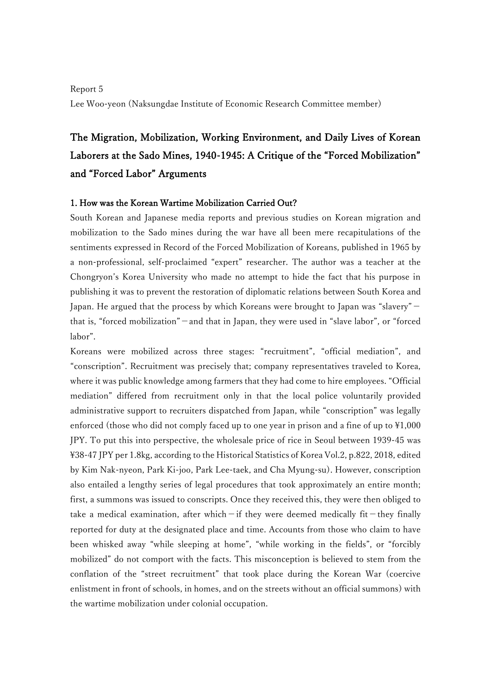## Report 5 Lee Woo-yeon (Naksungdae Institute of Economic Research Committee member)

# The Migration, Mobilization, Working Environment, and Daily Lives of Korean Laborers at the Sado Mines, 1940-1945: A Critique of the "Forced Mobilization" and "Forced Labor" Arguments

#### 1. How was the Korean Wartime Mobilization Carried Out?

South Korean and Japanese media reports and previous studies on Korean migration and mobilization to the Sado mines during the war have all been mere recapitulations of the sentiments expressed in Record of the Forced Mobilization of Koreans, published in 1965 by a non-professional, self-proclaimed "expert" researcher. The author was a teacher at the Chongryon's Korea University who made no attempt to hide the fact that his purpose in publishing it was to prevent the restoration of diplomatic relations between South Korea and Japan. He argued that the process by which Koreans were brought to Japan was "slavery" that is, "forced mobilization"-and that in Japan, they were used in "slave labor", or "forced labor".

Koreans were mobilized across three stages: "recruitment", "official mediation", and "conscription". Recruitment was precisely that; company representatives traveled to Korea, where it was public knowledge among farmers that they had come to hire employees. "Official mediation" differed from recruitment only in that the local police voluntarily provided administrative support to recruiters dispatched from Japan, while "conscription" was legally enforced (those who did not comply faced up to one year in prison and a fine of up to \1,000 JPY. To put this into perspective, the wholesale price of rice in Seoul between 1939-45 was \38-47 JPY per 1.8kg, according to the Historical Statistics of Korea Vol.2, p.822, 2018, edited by Kim Nak-nyeon, Park Ki-joo, Park Lee-taek, and Cha Myung-su). However, conscription also entailed a lengthy series of legal procedures that took approximately an entire month; first, a summons was issued to conscripts. Once they received this, they were then obliged to take a medical examination, after which-if they were deemed medically fit-they finally reported for duty at the designated place and time. Accounts from those who claim to have been whisked away "while sleeping at home", "while working in the fields", or "forcibly mobilized" do not comport with the facts. This misconception is believed to stem from the conflation of the "street recruitment" that took place during the Korean War (coercive enlistment in front of schools, in homes, and on the streets without an official summons) with the wartime mobilization under colonial occupation.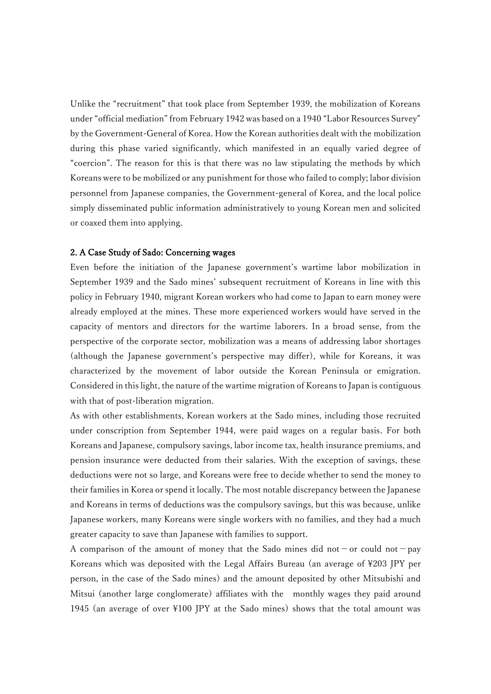Unlike the "recruitment" that took place from September 1939, the mobilization of Koreans under "official mediation" from February 1942 was based on a 1940 "Labor Resources Survey" by the Government-General of Korea. How the Korean authorities dealt with the mobilization during this phase varied significantly, which manifested in an equally varied degree of "coercion". The reason for this is that there was no law stipulating the methods by which Koreans were to be mobilized or any punishment for those who failed to comply; labor division personnel from Japanese companies, the Government-general of Korea, and the local police simply disseminated public information administratively to young Korean men and solicited or coaxed them into applying.

#### 2. A Case Study of Sado: Concerning wages

Even before the initiation of the Japanese government's wartime labor mobilization in September 1939 and the Sado mines' subsequent recruitment of Koreans in line with this policy in February 1940, migrant Korean workers who had come to Japan to earn money were already employed at the mines. These more experienced workers would have served in the capacity of mentors and directors for the wartime laborers. In a broad sense, from the perspective of the corporate sector, mobilization was a means of addressing labor shortages (although the Japanese government's perspective may differ), while for Koreans, it was characterized by the movement of labor outside the Korean Peninsula or emigration. Considered in this light, the nature of the wartime migration of Koreans to Japan is contiguous with that of post-liberation migration.

As with other establishments, Korean workers at the Sado mines, including those recruited under conscription from September 1944, were paid wages on a regular basis. For both Koreans and Japanese, compulsory savings, labor income tax, health insurance premiums, and pension insurance were deducted from their salaries. With the exception of savings, these deductions were not so large, and Koreans were free to decide whether to send the money to their families in Korea or spend it locally. The most notable discrepancy between the Japanese and Koreans in terms of deductions was the compulsory savings, but this was because, unlike Japanese workers, many Koreans were single workers with no families, and they had a much greater capacity to save than Japanese with families to support.

A comparison of the amount of money that the Sado mines did not - or could not - pay Koreans which was deposited with the Legal Affairs Bureau (an average of \203 JPY per person, in the case of the Sado mines) and the amount deposited by other Mitsubishi and Mitsui (another large conglomerate) affiliates with the monthly wages they paid around 1945 (an average of over \100 JPY at the Sado mines) shows that the total amount was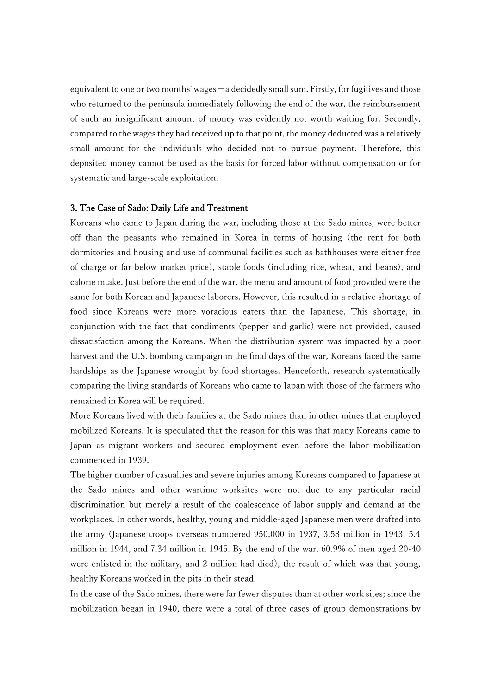equivalent to one or two months' wages-a decidedly small sum. Firstly, for fugitives and those who returned to the peninsula immediately following the end of the war, the reimbursement of such an insignificant amount of money was evidently not worth waiting for. Secondly, compared to the wages they had received up to that point, the money deducted was a relatively small amount for the individuals who decided not to pursue payment. Therefore, this deposited money cannot be used as the basis for forced labor without compensation or for systematic and large-scale exploitation.

#### 3. The Case of Sado: Daily Life and Treatment

Koreans who came to Japan during the war, including those at the Sado mines, were better off than the peasants who remained in Korea in terms of housing (the rent for both dormitories and housing and use of communal facilities such as bathhouses were either free of charge or far below market price), staple foods (including rice, wheat, and beans), and calorie intake. Just before the end of the war, the menu and amount of food provided were the same for both Korean and Japanese laborers. However, this resulted in a relative shortage of food since Koreans were more voracious eaters than the Japanese. This shortage, in conjunction with the fact that condiments (pepper and garlic) were not provided, caused dissatisfaction among the Koreans. When the distribution system was impacted by a poor harvest and the U.S. bombing campaign in the final days of the war, Koreans faced the same hardships as the Japanese wrought by food shortages. Henceforth, research systematically comparing the living standards of Koreans who came to Japan with those of the farmers who remained in Korea will be required.

More Koreans lived with their families at the Sado mines than in other mines that employed mobilized Koreans. It is speculated that the reason for this was that many Koreans came to Japan as migrant workers and secured employment even before the labor mobilization commenced in 1939.

The higher number of casualties and severe injuries among Koreans compared to Japanese at the Sado mines and other wartime worksites were not due to any particular racial discrimination but merely a result of the coalescence of labor supply and demand at the workplaces. In other words, healthy, young and middle-aged Japanese men were drafted into the army (Japanese troops overseas numbered 950,000 in 1937, 3.58 million in 1943, 5.4 million in 1944, and 7.34 million in 1945. By the end of the war, 60.9% of men aged 20-40 were enlisted in the military, and 2 million had died), the result of which was that young, healthy Koreans worked in the pits in their stead.

In the case of the Sado mines, there were far fewer disputes than at other work sites; since the mobilization began in 1940, there were a total of three cases of group demonstrations by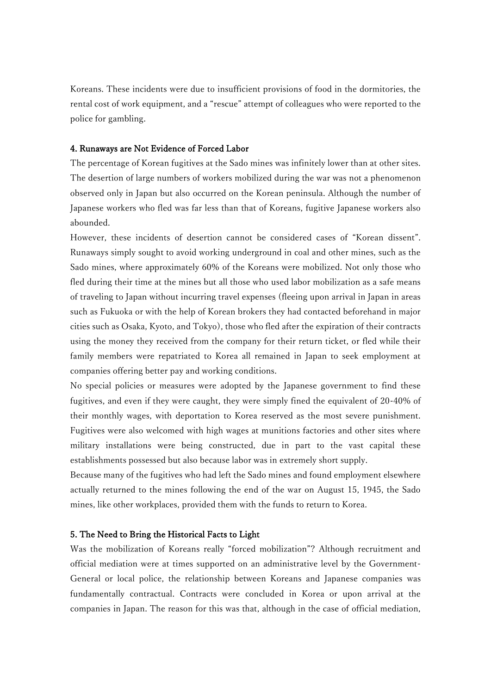Koreans. These incidents were due to insufficient provisions of food in the dormitories, the rental cost of work equipment, and a "rescue" attempt of colleagues who were reported to the police for gambling.

### 4. Runaways are Not Evidence of Forced Labor

The percentage of Korean fugitives at the Sado mines was infinitely lower than at other sites. The desertion of large numbers of workers mobilized during the war was not a phenomenon observed only in Japan but also occurred on the Korean peninsula. Although the number of Japanese workers who fled was far less than that of Koreans, fugitive Japanese workers also abounded.

However, these incidents of desertion cannot be considered cases of "Korean dissent". Runaways simply sought to avoid working underground in coal and other mines, such as the Sado mines, where approximately 60% of the Koreans were mobilized. Not only those who fled during their time at the mines but all those who used labor mobilization as a safe means of traveling to Japan without incurring travel expenses (fleeing upon arrival in Japan in areas such as Fukuoka or with the help of Korean brokers they had contacted beforehand in major cities such as Osaka, Kyoto, and Tokyo), those who fled after the expiration of their contracts using the money they received from the company for their return ticket, or fled while their family members were repatriated to Korea all remained in Japan to seek employment at companies offering better pay and working conditions.

No special policies or measures were adopted by the Japanese government to find these fugitives, and even if they were caught, they were simply fined the equivalent of 20-40% of their monthly wages, with deportation to Korea reserved as the most severe punishment. Fugitives were also welcomed with high wages at munitions factories and other sites where military installations were being constructed, due in part to the vast capital these establishments possessed but also because labor was in extremely short supply.

Because many of the fugitives who had left the Sado mines and found employment elsewhere actually returned to the mines following the end of the war on August 15, 1945, the Sado mines, like other workplaces, provided them with the funds to return to Korea.

#### 5. The Need to Bring the Historical Facts to Light

Was the mobilization of Koreans really "forced mobilization"? Although recruitment and official mediation were at times supported on an administrative level by the Government-General or local police, the relationship between Koreans and Japanese companies was fundamentally contractual. Contracts were concluded in Korea or upon arrival at the companies in Japan. The reason for this was that, although in the case of official mediation,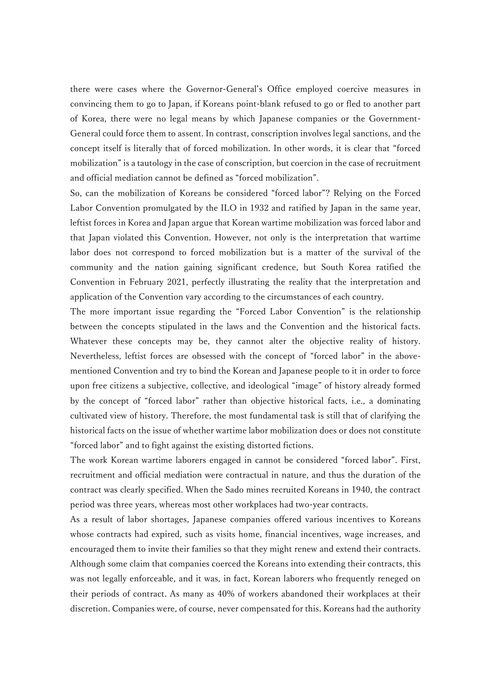there were cases where the Governor-General's Office employed coercive measures in convincing them to go to Japan, if Koreans point-blank refused to go or fled to another part of Korea, there were no legal means by which Japanese companies or the Government-General could force them to assent. In contrast, conscription involves legal sanctions, and the concept itself is literally that of forced mobilization. In other words, it is clear that "forced mobilization" is a tautology in the case of conscription, but coercion in the case of recruitment and official mediation cannot be defined as "forced mobilization".

So, can the mobilization of Koreans be considered "forced labor"? Relying on the Forced Labor Convention promulgated by the ILO in 1932 and ratified by Japan in the same year, leftist forces in Korea and Japan argue that Korean wartime mobilization was forced labor and that Japan violated this Convention. However, not only is the interpretation that wartime labor does not correspond to forced mobilization but is a matter of the survival of the community and the nation gaining significant credence, but South Korea ratified the Convention in February 2021, perfectly illustrating the reality that the interpretation and application of the Convention vary according to the circumstances of each country.

The more important issue regarding the "Forced Labor Convention" is the relationship between the concepts stipulated in the laws and the Convention and the historical facts. Whatever these concepts may be, they cannot alter the objective reality of history. Nevertheless, leftist forces are obsessed with the concept of "forced labor" in the abovementioned Convention and try to bind the Korean and Japanese people to it in order to force upon free citizens a subjective, collective, and ideological "image" of history already formed by the concept of "forced labor" rather than objective historical facts, i.e., a dominating cultivated view of history. Therefore, the most fundamental task is still that of clarifying the historical facts on the issue of whether wartime labor mobilization does or does not constitute "forced labor" and to fight against the existing distorted fictions.

The work Korean wartime laborers engaged in cannot be considered "forced labor". First, recruitment and official mediation were contractual in nature, and thus the duration of the contract was clearly specified. When the Sado mines recruited Koreans in 1940, the contract period was three years, whereas most other workplaces had two-year contracts.

As a result of labor shortages, Japanese companies offered various incentives to Koreans whose contracts had expired, such as visits home, financial incentives, wage increases, and encouraged them to invite their families so that they might renew and extend their contracts. Although some claim that companies coerced the Koreans into extending their contracts, this was not legally enforceable, and it was, in fact, Korean laborers who frequently reneged on their periods of contract. As many as 40% of workers abandoned their workplaces at their discretion. Companies were, of course, never compensated for this. Koreans had the authority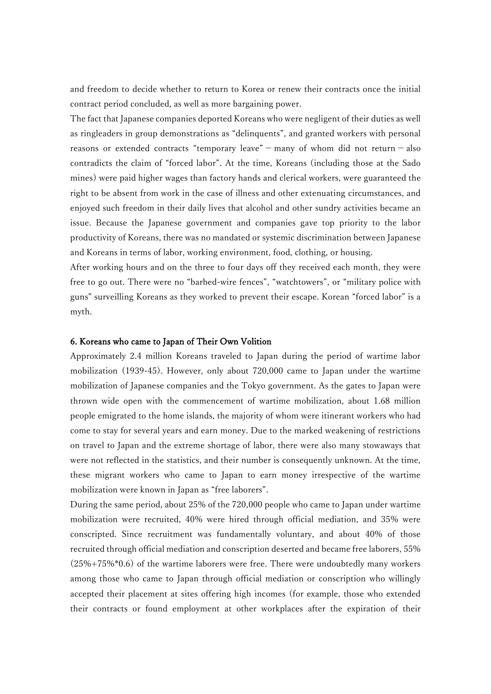and freedom to decide whether to return to Korea or renew their contracts once the initial contract period concluded, as well as more bargaining power.

The fact that Japanese companies deported Koreans who were negligent of their duties as well as ringleaders in group demonstrations as "delinquents", and granted workers with personal reasons or extended contracts "temporary leave" - many of whom did not return - also contradicts the claim of "forced labor". At the time, Koreans (including those at the Sado mines) were paid higher wages than factory hands and clerical workers, were guaranteed the right to be absent from work in the case of illness and other extenuating circumstances, and enjoyed such freedom in their daily lives that alcohol and other sundry activities became an issue. Because the Japanese government and companies gave top priority to the labor productivity of Koreans, there was no mandated or systemic discrimination between Japanese and Koreans in terms of labor, working environment, food, clothing, or housing.

After working hours and on the three to four days off they received each month, they were free to go out. There were no "barbed-wire fences", "watchtowers", or "military police with guns" surveilling Koreans as they worked to prevent their escape. Korean "forced labor" is a myth.

#### 6. Koreans who came to Japan of Their Own Volition

Approximately 2.4 million Koreans traveled to Japan during the period of wartime labor mobilization (1939-45). However, only about 720,000 came to Japan under the wartime mobilization of Japanese companies and the Tokyo government. As the gates to Japan were thrown wide open with the commencement of wartime mobilization, about 1.68 million people emigrated to the home islands, the majority of whom were itinerant workers who had come to stay for several years and earn money. Due to the marked weakening of restrictions on travel to Japan and the extreme shortage of labor, there were also many stowaways that were not reflected in the statistics, and their number is consequently unknown. At the time, these migrant workers who came to Japan to earn money irrespective of the wartime mobilization were known in Japan as "free laborers".

During the same period, about 25% of the 720,000 people who came to Japan under wartime mobilization were recruited, 40% were hired through official mediation, and 35% were conscripted. Since recruitment was fundamentally voluntary, and about 40% of those recruited through official mediation and conscription deserted and became free laborers, 55% (25%+75%\*0.6) of the wartime laborers were free. There were undoubtedly many workers among those who came to Japan through official mediation or conscription who willingly accepted their placement at sites offering high incomes (for example, those who extended their contracts or found employment at other workplaces after the expiration of their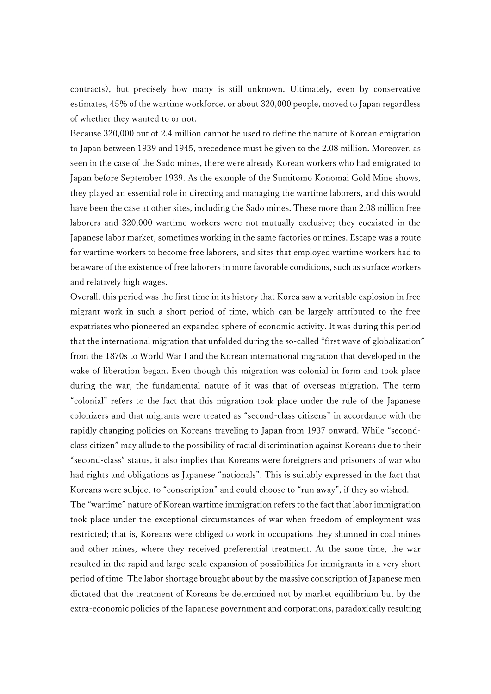contracts), but precisely how many is still unknown. Ultimately, even by conservative estimates, 45% of the wartime workforce, or about 320,000 people, moved to Japan regardless of whether they wanted to or not.

Because 320,000 out of 2.4 million cannot be used to define the nature of Korean emigration to Japan between 1939 and 1945, precedence must be given to the 2.08 million. Moreover, as seen in the case of the Sado mines, there were already Korean workers who had emigrated to Japan before September 1939. As the example of the Sumitomo Konomai Gold Mine shows, they played an essential role in directing and managing the wartime laborers, and this would have been the case at other sites, including the Sado mines. These more than 2.08 million free laborers and 320,000 wartime workers were not mutually exclusive; they coexisted in the Japanese labor market, sometimes working in the same factories or mines. Escape was a route for wartime workers to become free laborers, and sites that employed wartime workers had to be aware of the existence of free laborers in more favorable conditions, such as surface workers and relatively high wages.

Overall, this period was the first time in its history that Korea saw a veritable explosion in free migrant work in such a short period of time, which can be largely attributed to the free expatriates who pioneered an expanded sphere of economic activity. It was during this period that the international migration that unfolded during the so-called "first wave of globalization" from the 1870s to World War I and the Korean international migration that developed in the wake of liberation began. Even though this migration was colonial in form and took place during the war, the fundamental nature of it was that of overseas migration. The term "colonial" refers to the fact that this migration took place under the rule of the Japanese colonizers and that migrants were treated as "second-class citizens" in accordance with the rapidly changing policies on Koreans traveling to Japan from 1937 onward. While "secondclass citizen" may allude to the possibility of racial discrimination against Koreans due to their "second-class" status, it also implies that Koreans were foreigners and prisoners of war who had rights and obligations as Japanese "nationals". This is suitably expressed in the fact that Koreans were subject to "conscription" and could choose to "run away", if they so wished.

The "wartime" nature of Korean wartime immigration refers to the fact that labor immigration took place under the exceptional circumstances of war when freedom of employment was restricted; that is, Koreans were obliged to work in occupations they shunned in coal mines and other mines, where they received preferential treatment. At the same time, the war resulted in the rapid and large-scale expansion of possibilities for immigrants in a very short period of time. The labor shortage brought about by the massive conscription of Japanese men dictated that the treatment of Koreans be determined not by market equilibrium but by the extra-economic policies of the Japanese government and corporations, paradoxically resulting